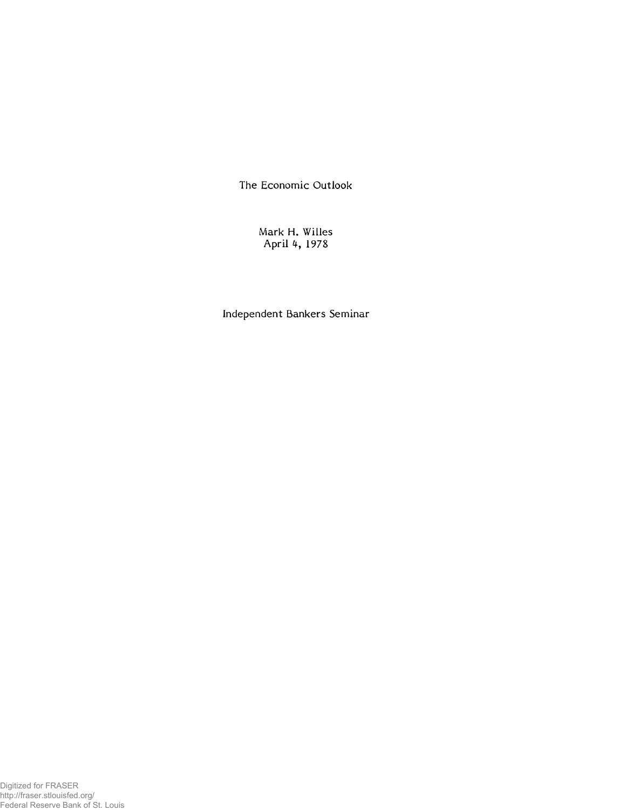The Economic Outlook

Mark H. Willes April 4, 1978

Independent Bankers Seminar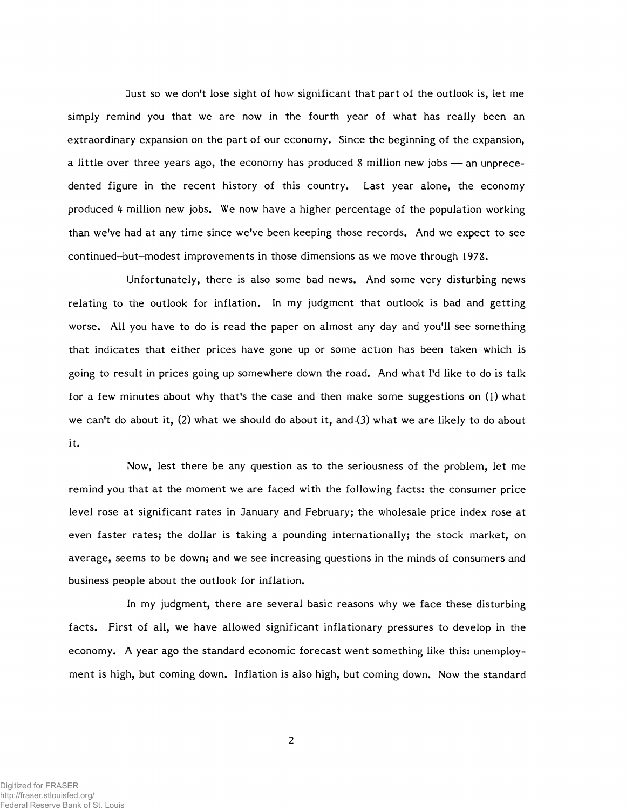Just so we don't lose sight of how significant that part of the outlook is, let me simply remind you that we are now in the fourth year of what has really been an extraordinary expansion on the part of our economy. Since the beginning of the expansion, a little over three years ago, the economy has produced 8 million new jobs — an unprecedented figure in the recent history of this country. Last year alone, the economy produced *k* million new jobs. We now have a higher percentage of the population working than we've had at any time since we've been keeping those records. And we expect to see continued-but-modest improvements in those dimensions as we move through 1978.

Unfortunately, there is also some bad news. And some very disturbing news relating to the outlook for inflation. In my judgment that outlook is bad and getting worse. All you have to do is read the paper on almost any day and you'll see something that indicates that either prices have gone up or some action has been taken which is going to result in prices going up somewhere down the road. And what I'd like to do is talk for a few minutes about why that's the case and then make some suggestions on (1) what we can't do about it, (2) what we should do about it, and (3) what we are likely to do about it.

Now, lest there be any question as to the seriousness of the problem, let me remind you that at the moment we are faced with the following facts: the consumer price level rose at significant rates in January and February; the wholesale price index rose at even faster rates; the dollar is taking a pounding internationally; the stock market, on average, seems to be down; and we see increasing questions in the minds of consumers and business people about the outlook for inflation.

In my judgment, there are several basic reasons why we face these disturbing facts. First of all, we have allowed significant inflationary pressures to develop in the economy. A year ago the standard economic forecast went something like this: unemployment is high, but coming down. Inflation is also high, but coming down. Now the standard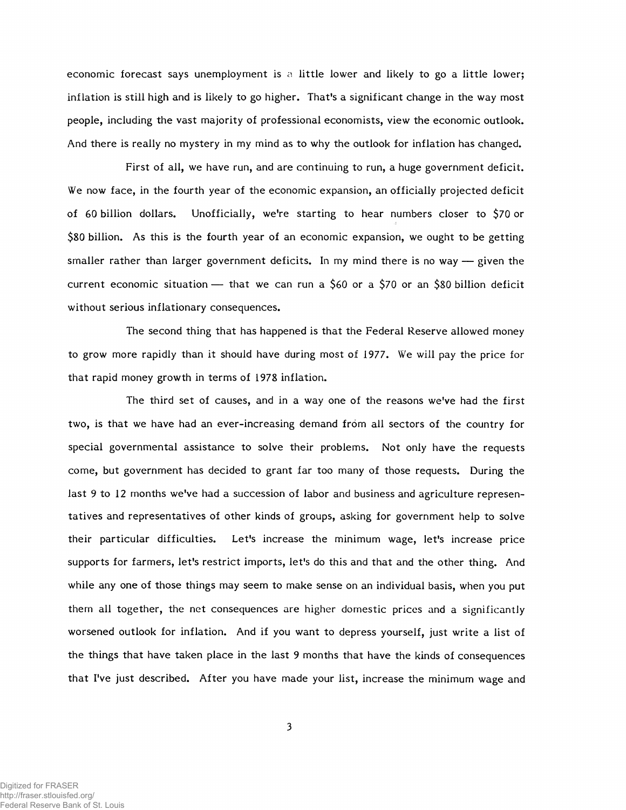economic forecast says unemployment is a little lower and likely to go a little lower; inflation is still high and is likely to go higher. That's a significant change in the way most people, including the vast majority of professional economists, view the economic outlook. And there is really no mystery in my mind as to why the outlook for inflation has changed.

First of all, we have run, and are continuing to run, a huge government deficit. We now face, in the fourth year of the economic expansion, an officially projected deficit of 60 billion dollars. Unofficially, we're starting to hear numbers closer to \$70 or \$80 billion. As this is the fourth year of an economic expansion, we ought to be getting smaller rather than larger government deficits. In my mind there is no way — given the current economic situation — that we can run a \$60 or a \$70 or an \$80 billion deficit without serious inflationary consequences.

The second thing that has happened is that the Federal Reserve allowed money to grow more rapidly than it should have during most of 1977. We will pay the price for that rapid money growth in terms of 1978 inflation.

The third set of causes, and in a way one of the reasons we've had the first two, is that we have had an ever-increasing demand from all sectors of the country for special governmental assistance to solve their problems. Not only have the requests come, but government has decided to grant far too many of those requests. During the last 9 to 12 months we've had a succession of labor and business and agriculture representatives and representatives of other kinds of groups, asking for government help to solve their particular difficulties. Let's increase the minimum wage, let's increase price supports for farmers, let's restrict imports, let's do this and that and the other thing. And while any one of those things may seem to make sense on an individual basis, when you put them all together, the net consequences are higher domestic prices and a significantly worsened outlook for inflation. And if you want to depress yourself, just write a list of the things that have taken place in the last 9 months that have the kinds of consequences that I've just described. After you have made your list, increase the minimum wage and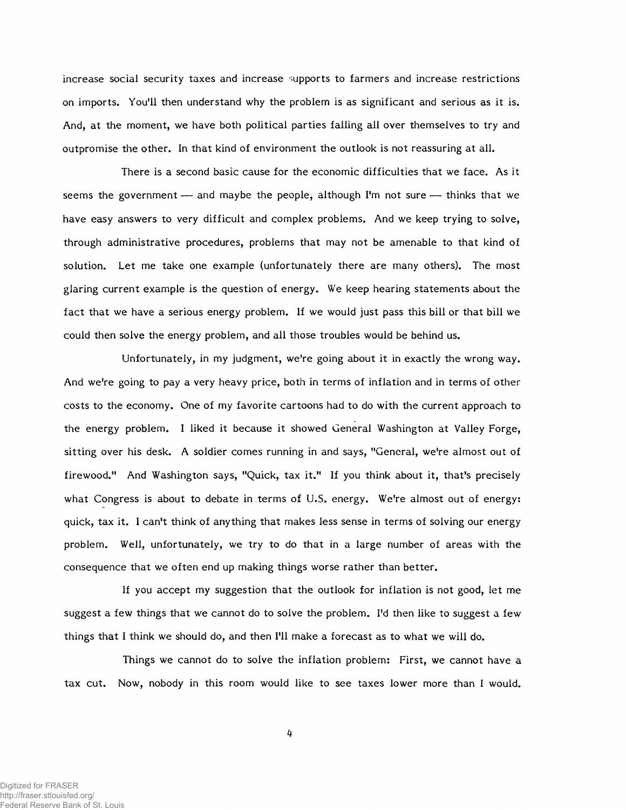increase social security taxes and increase supports to farmers and increase restrictions on imports. You'll then understand why the problem is as significant and serious as it is. And, at the moment, we have both political parties falling all over themselves to try and outpromise the other. In that kind of environment the outlook is not reassuring at all.

There is a second basic cause for the economic difficulties that we face. As it seems the government — and maybe the people, although I'm not sure — thinks that we have easy answers to very difficult and complex problems. And we keep trying to solve, through administrative procedures, problems that may not be amenable to that kind of solution. Let me take one example (unfortunately there are many others). The most glaring current example is the question of energy. We keep hearing statements about the fact that we have a serious energy problem. If we would just pass this bill or that bill we could then solve the energy problem, and all those troubles would be behind us.

Unfortunately, in my judgment, we're going about it in exactly the wrong way. And we're going to pay a very heavy price, both in terms of inflation and in terms of other costs to the economy. One of my favorite cartoons had to do with the current approach to the energy problem. I liked it because it showed General Washington at Valley Forge, sitting over his desk. A soldier comes running in and says, "General, we're almost out of firewood." And Washington says, "Quick, tax it." If you think about it, that's precisely what Congress is about to debate in terms of U.S. energy. We're almost out of energy: quick, tax it. I can't think of anything that makes less sense in terms of solving our energy problem. Well, unfortunately, we try to do that in a large number of areas with the consequence that we often end up making things worse rather than better.

If you accept my suggestion that the outlook for inflation is not good, let me suggest a few things that we cannot do to solve the problem. I'd then like to suggest a few things that I think we should do, and then I'll make a forecast as to what we will do.

Things we cannot do to solve the inflation problem: First, we cannot have a tax cut. Now, nobody in this room would like to see taxes lower more than I would.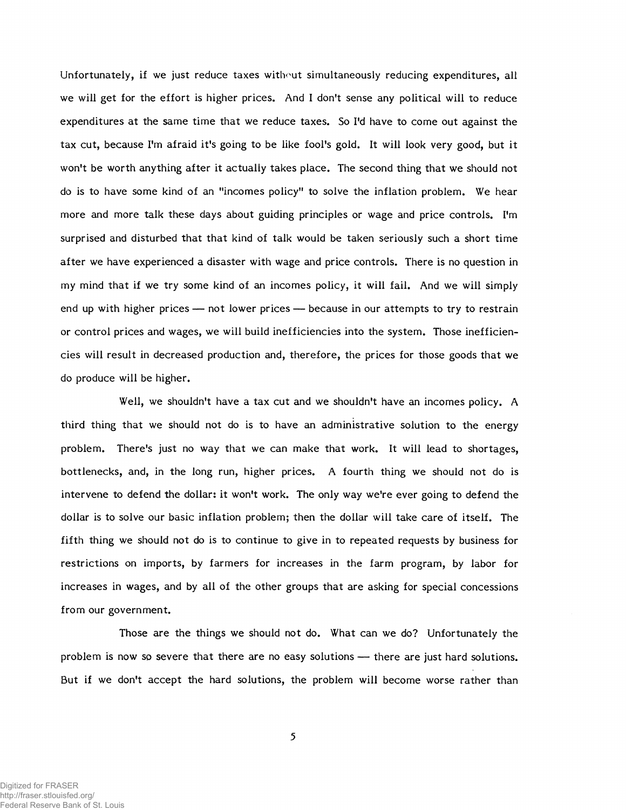Unfortunately, if we just reduce taxes without simultaneously reducing expenditures, all we will get for the effort is higher prices. And I don't sense any political will to reduce expenditures at the same time that we reduce taxes. So I'd have to come out against the tax cut, because I'm afraid it's going to be like fool's gold. It will look very good, but it won't be worth anything after it actually takes place. The second thing that we should not do is to have some kind of an "incomes policy" to solve the inflation problem. We hear more and more talk these days about guiding principles or wage and price controls. I'm surprised and disturbed that that kind of talk would be taken seriously such a short time after we have experienced a disaster with wage and price controls. There is no question in my mind that if we try some kind of an incomes policy, it will fail. And we will simply end up with higher prices — not lower prices — because in our attempts to try to restrain or control prices and wages, we will build inefficiencies into the system. Those inefficiencies will result in decreased production and, therefore, the prices for those goods that we do produce will be higher.

Well, we shouldn't have a tax cut and we shouldn't have an incomes policy. A third thing that we should not do is to have an administrative solution to the energy problem. There's just no way that we can make that work. It will lead to shortages, bottlenecks, and, in the long run, higher prices. A fourth thing we should not do is intervene to defend the dollar: it won't work. The only way we're ever going to defend the dollar is to solve our basic inflation problem; then the dollar will take care of itself. The fifth thing we should not do is to continue to give in to repeated requests by business for restrictions on imports, by farmers for increases in the farm program, by labor for increases in wages, and by all of the other groups that are asking for special concessions from our government.

Those are the things we should not do. What can we do? Unfortunately the problem is now so severe that there are no easy solutions — there are just hard solutions. But if we don't accept the hard solutions, the problem will become worse rather than

5